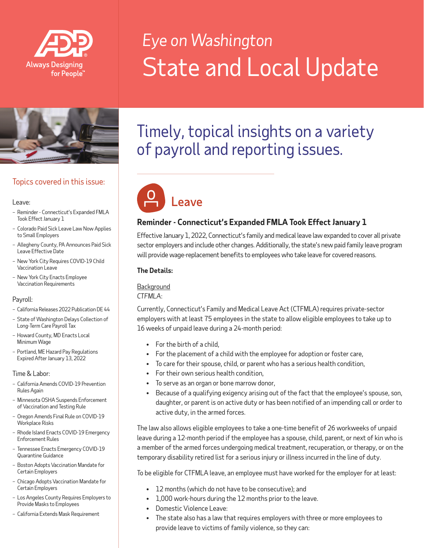

# *Eye on Washington* State and Local Update



## Topics covered in this issue:

#### Leave:

- Reminder Connecticut's Expanded FMLA Took Effect January 1
- Colorado Paid Sick Leave Law Now Applies to Small Employers
- Allegheny County, PA Announces Paid Sick Leave Effective Date
- New York City Requires COVID-19 Child Vaccination Leave
- New York City Enacts Employee Vaccination Requirements

#### Payroll:

- California Releases 2022 Publication DE 44
- State of Washington Delays Collection of Long-Term Care Payroll Tax
- Howard County, MD Enacts Local Minimum Wage
- Portland, ME Hazard Pay Regulations Expired After January 13, 2022

Time & Labor:

- California Amends COVID-19 Prevention Rules Again
- Minnesota OSHA Suspends Enforcement of Vaccination and Testing Rule
- Oregon Amends Final Rule on COVID-19 Workplace Risks
- Rhode Island Enacts COVID-19 Emergency Enforcement Rules
- Tennessee Enacts Emergency COVID-19 Quarantine Guidance
- Boston Adopts Vaccination Mandate for Certain Employers
- Chicago Adopts Vaccination Mandate for Certain Employers
- Los Angeles County Requires Employers to Provide Masks to Employees
- California Extends Mask Requirement

## Timely, topical insights on a variety of payroll and reporting issues.



## **Reminder - Connecticut's Expanded FMLA Took Effect January 1**

Effective January 1, 2022, Connecticut's family and medical leave law expanded to cover all private sector employers and include other changes. Additionally, the state's new paid family leave program will provide wage-replacement benefits to employees who take leave for covered reasons.

#### **The Details:**

## **Background**

#### *CTFMLA*:

Currently, Connecticut's Family and Medical Leave Act (CTFMLA) requires private-sector employers with at least 75 employees in the state to allow eligible employees to take up to 16 weeks of unpaid leave during a 24-month period:

- For the birth of a child,
- For the placement of a child with the employee for adoption or foster care,
- To care for their spouse, child, or parent who has a serious health condition,
- For their own serious health condition,
- To serve as an organ or bone marrow donor,
- Because of a qualifying exigency arising out of the fact that the employee's spouse, son, daughter, or parent is on active duty or has been notified of an impending call or order to active duty, in the armed forces.

The law also allows eligible employees to take a one-time benefit of 26 workweeks of unpaid leave during a 12-month period if the employee has a spouse, child, parent, or next of kin who is a member of the armed forces undergoing medical treatment, recuperation, or therapy, or on the temporary disability retired list for a serious injury or illness incurred in the line of duty.

To be eligible for CTFMLA leave, an employee must have worked for the employer for at least:

- 12 months (which do not have to be consecutive); and
- 1,000 work-hours during the 12 months prior to the leave.
- Domestic Violence Leave:
- The state also has a law that requires employers with three or more employees to provide leave to victims of family violence, so they can: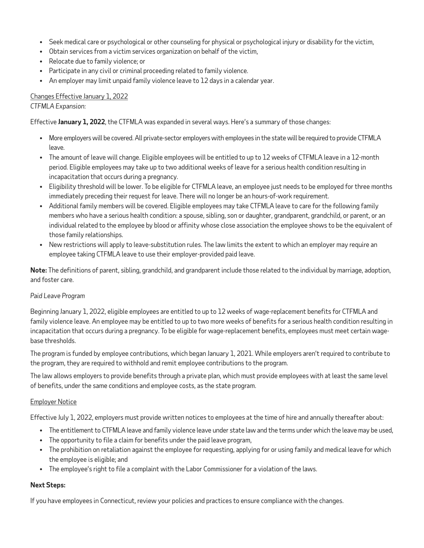- Seek medical care or psychological or other counseling for physical or psychological injury or disability for the victim,
- Obtain services from a victim services organization on behalf of the victim,
- Relocate due to family violence; or
- Participate in any civil or criminal proceeding related to family violence.
- An employer may limit unpaid family violence leave to 12 days in a calendar year.

## Changes Effective January 1, 2022

*CTFMLA Expansion:*

Effective **January 1, 2022**, the CTFMLA was expanded in several ways. Here's a summary of those changes:

- More employers will be covered. All private-sector employers with employees in the state will be required to provide CTFMLA leave.
- The amount of leave will change. Eligible employees will be entitled to up to 12 weeks of CTFMLA leave in a 12-month period. Eligible employees may take up to two additional weeks of leave for a serious health condition resulting in incapacitation that occurs during a pregnancy.
- Eligibility threshold will be lower. To be eligible for CTFMLA leave, an employee just needs to be employed for three months immediately preceding their request for leave. There will no longer be an hours-of-work requirement.
- Additional family members will be covered. Eligible employees may take CTFMLA leave to care for the following family members who have a serious health condition: a spouse, sibling, son or daughter, grandparent, grandchild, or parent, or an individual related to the employee by blood or affinity whose close association the employee shows to be the equivalent of those family relationships.
- New restrictions will apply to leave-substitution rules. The law limits the extent to which an employer may require an employee taking CTFMLA leave to use their employer-provided paid leave.

**Note:** The definitions of parent, sibling, grandchild, and grandparent include those related to the individual by marriage, adoption, and foster care.

#### *Paid Leave Program*

Beginning January 1, 2022, eligible employees are entitled to up to 12 weeks of wage-replacement benefits for CTFMLA and family violence leave. An employee may be entitled to up to two more weeks of benefits for a serious health condition resulting in incapacitation that occurs during a pregnancy. To be eligible for wage-replacement benefits, employees must meet certain wagebase thresholds.

The program is funded by employee contributions, which began January 1, 2021. While employers aren't required to contribute to the program, they are required to withhold and remit employee contributions to the program.

The law allows employers to provide benefits through a private plan, which must provide employees with at least the same level of benefits, under the same conditions and employee costs, as the state program.

#### Employer Notice

Effective July 1, 2022, employers must provide written notices to employees at the time of hire and annually thereafter about:

- The entitlement to CTFMLA leave and family violence leave under state law and the terms under which the leave may be used,
- The opportunity to file a claim for benefits under the paid leave program,
- The prohibition on retaliation against the employee for requesting, applying for or using family and medical leave for which the employee is eligible; and
- The employee's right to file a complaint with the Labor Commissioner for a violation of the laws.

#### **Next Steps:**

If you have employees in Connecticut, review your policies and practices to ensure compliance with the changes.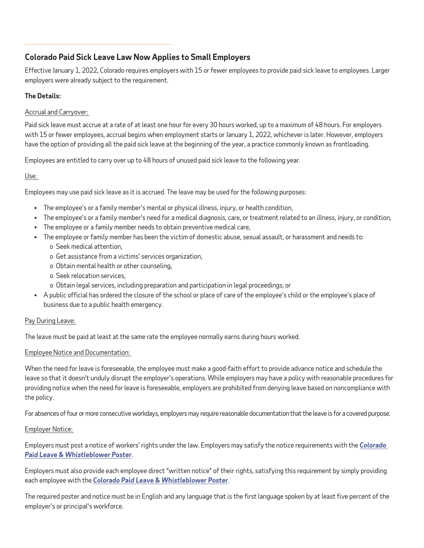## **Colorado Paid Sick Leave Law Now Applies to Small Employers**

Effective January 1, 2022, Colorado requires employers with 15 or fewer employees to provide paid sick leave to employees. Larger employers were already subject to the requirement.

## **The Details:**

 $\overline{a}$ 

## Accrual and Carryover:

Paid sick leave must accrue at a rate of at least one hour for every 30 hours worked, up to a maximum of 48 hours. For employers with 15 or fewer employees, accrual begins when employment starts or January 1, 2022, whichever is later. However, employers have the option of providing all the paid sick leave at the beginning of the year, a practice commonly known as frontloading.

Employees are entitled to carry over up to 48 hours of unused paid sick leave to the following year.

## Use:

Employees may use paid sick leave as it is accrued. The leave may be used for the following purposes:

- The employee's or a family member's mental or physical illness, injury, or health condition,
- The employee's or a family member's need for a medical diagnosis, care, or treatment related to an illness, injury, or condition,
- The employee or a family member needs to obtain preventive medical care,
- The employee or family member has been the victim of domestic abuse, sexual assault, or harassment and needs to: o Seek medical attention,
	- o Get assistance from a victims' services organization,
	- o Obtain mental health or other counseling,
	- o Seek relocation services,
	- o Obtain legal services, including preparation and participation in legal proceedings; or
- A public official has ordered the closure of the school or place of care of the employee's child or the employee's place of business due to a public health emergency.

## Pay During Leave:

The leave must be paid at least at the same rate the employee normally earns during hours worked.

## Employee Notice and Documentation:

When the need for leave is foreseeable, the employee must make a good-faith effort to provide advance notice and schedule the leave so that it doesn't unduly disrupt the employer's operations. While employers may have a policy with reasonable procedures for providing notice when the need for leave is foreseeable, employers are prohibited from denying leave based on noncompliance with the policy.

For absences of four or more consecutive workdays, employers may require reasonable documentation that the leave is for a covered purpose.

## Employer Notice:

Employers must post a notice of workers' rights under the law. Employers may satisfy the notice requirements with the *[Colorado](https://cdle.colorado.gov/posters-0)  [Paid Leave & Whistleblower Poster](https://cdle.colorado.gov/posters-0)*.

Employers must also provide each employee direct "written notice" of their rights, satisfying this requirement by simply providing each employee with the *[Colorado Paid Leave & Whistleblower Poster](https://cdle.colorado.gov/posters-0)*.

The required poster and notice must be in English and any language that is the first language spoken by at least five percent of the employer's or principal's workforce.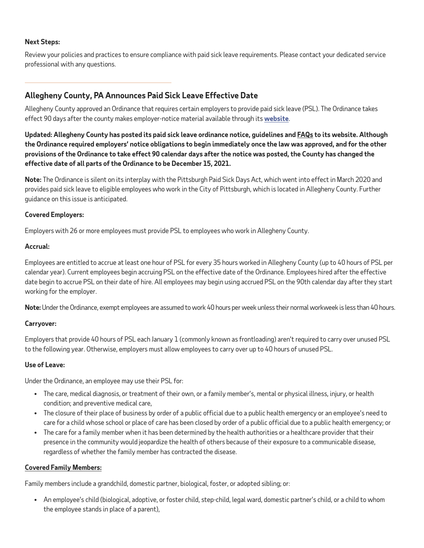#### **Next Steps:**

Review your policies and practices to ensure compliance with paid sick leave requirements. Please contact your dedicated service professional with any questions.

## **Allegheny County, PA Announces Paid Sick Leave Effective Date**

Allegheny County approved an Ordinance that requires certain employers to provide paid sick leave (PSL). The Ordinance takes effect 90 days after the county makes employer-notice material available through its **[website](https://www.alleghenycounty.us/work/index.aspx)**.

**Updated: Allegheny County has posted its paid sick leave ordinance notice, guidelines and FAQs to its website. Although the Ordinance required employers' notice obligations to begin immediately once the law was approved, and for the other provisions of the Ordinance to take effect 90 calendar days after the notice was posted, the County has changed the effective date of all parts of the Ordinance to be December 15, 2021.**

**Note:** The Ordinance is silent on its interplay with the Pittsburgh Paid Sick Days Act, which went into effect in March 2020 and provides paid sick leave to eligible employees who work in the City of Pittsburgh, which is located in Allegheny County. Further guidance on this issue is anticipated.

#### **Covered Employers:**

Employers with 26 or more employees must provide PSL to employees who work in Allegheny County.

#### **Accrual:**

Employees are entitled to accrue at least one hour of PSL for every 35 hours worked in Allegheny County (up to 40 hours of PSL per calendar year). Current employees begin accruing PSL on the effective date of the Ordinance. Employees hired after the effective date begin to accrue PSL on their date of hire. All employees may begin using accrued PSL on the 90th calendar day after they start working for the employer.

**Note:** Under the Ordinance, exempt employees are assumed to work 40 hours per week unless their normal workweek is less than 40 hours.

#### **Carryover:**

Employers that provide 40 hours of PSL each January 1 (commonly known as frontloading) aren't required to carry over unused PSL to the following year. Otherwise, employers must allow employees to carry over up to 40 hours of unused PSL.

#### **Use of Leave:**

Under the Ordinance, an employee may use their PSL for:

- The care, medical diagnosis, or treatment of their own, or a family member's, mental or physical illness, injury, or health condition; and preventive medical care,
- The closure of their place of business by order of a public official due to a public health emergency or an employee's need to care for a child whose school or place of care has been closed by order of a public official due to a public health emergency; or
- The care for a family member when it has been determined by the health authorities or a healthcare provider that their presence in the community would jeopardize the health of others because of their exposure to a communicable disease, regardless of whether the family member has contracted the disease.

#### **Covered Family Members:**

Family members include a grandchild, domestic partner, biological, foster, or adopted sibling; or:

• An employee's child (biological, adoptive, or foster child, step-child, legal ward, domestic partner's child, or a child to whom the employee stands in place of a parent),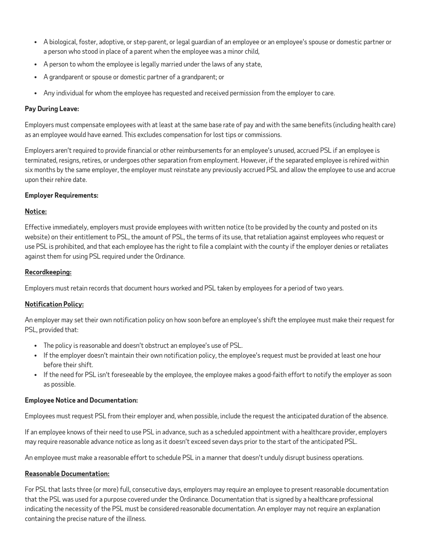- A biological, foster, adoptive, or step-parent, or legal guardian of an employee or an employee's spouse or domestic partner or a person who stood in place of a parent when the employee was a minor child,
- A person to whom the employee is legally married under the laws of any state,
- A grandparent or spouse or domestic partner of a grandparent; or
- Any individual for whom the employee has requested and received permission from the employer to care.

#### **Pay During Leave:**

Employers must compensate employees with at least at the same base rate of pay and with the same benefits (including health care) as an employee would have earned. This excludes compensation for lost tips or commissions.

Employers aren't required to provide financial or other reimbursements for an employee's unused, accrued PSL if an employee is terminated, resigns, retires, or undergoes other separation from employment. However, if the separated employee is rehired within six months by the same employer, the employer must reinstate any previously accrued PSL and allow the employee to use and accrue upon their rehire date.

#### **Employer Requirements:**

#### **Notice:**

Effective immediately, employers must provide employees with written notice (to be provided by the county and posted on its website) on their entitlement to PSL, the amount of PSL, the terms of its use, that retaliation against employees who request or use PSL is prohibited, and that each employee has the right to file a complaint with the county if the employer denies or retaliates against them for using PSL required under the Ordinance.

#### **Recordkeeping:**

Employers must retain records that document hours worked and PSL taken by employees for a period of two years.

## **Notification Policy:**

An employer may set their own notification policy on how soon before an employee's shift the employee must make their request for PSL, provided that:

- The policy is reasonable and doesn't obstruct an employee's use of PSL.
- If the employer doesn't maintain their own notification policy, the employee's request must be provided at least one hour before their shift.
- If the need for PSL isn't foreseeable by the employee, the employee makes a good-faith effort to notify the employer as soon as possible.

#### **Employee Notice and Documentation:**

Employees must request PSL from their employer and, when possible, include the request the anticipated duration of the absence.

If an employee knows of their need to use PSL in advance, such as a scheduled appointment with a healthcare provider, employers may require reasonable advance notice as long as it doesn't exceed seven days prior to the start of the anticipated PSL.

An employee must make a reasonable effort to schedule PSL in a manner that doesn't unduly disrupt business operations.

#### **Reasonable Documentation:**

For PSL that lasts three (or more) full, consecutive days, employers may require an employee to present reasonable documentation that the PSL was used for a purpose covered under the Ordinance. Documentation that is signed by a healthcare professional indicating the necessity of the PSL must be considered reasonable documentation. An employer may not require an explanation containing the precise nature of the illness.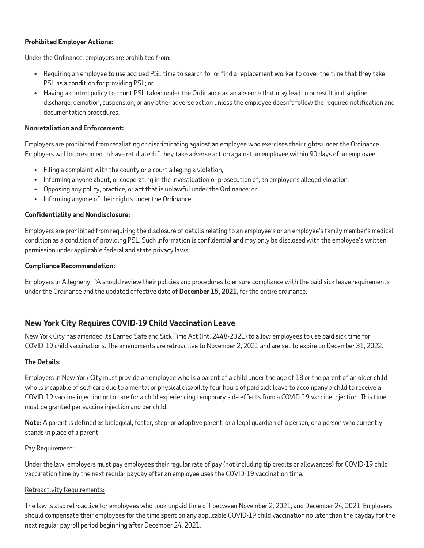#### **Prohibited Employer Actions:**

Under the Ordinance, employers are prohibited from:

- Requiring an employee to use accrued PSL time to search for or find a replacement worker to cover the time that they take PSL as a condition for providing PSL; or
- Having a control policy to count PSL taken under the Ordinance as an absence that may lead to or result in discipline, discharge, demotion, suspension, or any other adverse action unless the employee doesn't follow the required notification and documentation procedures.

#### **Nonretaliation and Enforcement:**

Employers are prohibited from retaliating or discriminating against an employee who exercises their rights under the Ordinance. Employers will be presumed to have retaliated if they take adverse action against an employee within 90 days of an employee:

- Filing a complaint with the county or a court alleging a violation,
- Informing anyone about, or cooperating in the investigation or prosecution of, an employer's alleged violation,
- Opposing any policy, practice, or act that is unlawful under the Ordinance; or
- Informing anyone of their rights under the Ordinance.

#### **Confidentiality and Nondisclosure:**

Employers are prohibited from requiring the disclosure of details relating to an employee's or an employee's family member's medical condition as a condition of providing PSL. Such information is confidential and may only be disclosed with the employee's written permission under applicable federal and state privacy laws.

#### **Compliance Recommendation:**

Employers in Allegheny, PA should review their policies and procedures to ensure compliance with the paid sick leave requirements under the Ordinance and the updated effective date of **December 15, 2021**, for the entire ordinance.

## **New York City Requires COVID-19 Child Vaccination Leave**

New York City has amended its Earned Safe and Sick Time Act (Int. 2448-2021) to allow employees to use paid sick time for COVID-19 child vaccinations. The amendments are retroactive to November 2, 2021 and are set to expire on December 31, 2022.

#### **The Details:**

Employers in New York City must provide an employee who is a parent of a child under the age of 18 or the parent of an older child who is incapable of self-care due to a mental or physical disability four hours of paid sick leave to accompany a child to receive a COVID-19 vaccine injection or to care for a child experiencing temporary side effects from a COVID-19 vaccine injection. This time must be granted per vaccine injection and per child.

**Note:** A parent is defined as biological, foster, step- or adoptive parent, or a legal guardian of a person, or a person who currently stands in place of a parent.

#### Pay Requirement:

Under the law, employers must pay employees their regular rate of pay (not including tip credits or allowances) for COVID-19 child vaccination time by the next regular payday after an employee uses the COVID-19 vaccination time.

#### Retroactivity Requirements:

The law is also retroactive for employees who took unpaid time off between November 2, 2021, and December 24, 2021. Employers should compensate their employees for the time spent on any applicable COVID-19 child vaccination no later than the payday for the next regular payroll period beginning after December 24, 2021.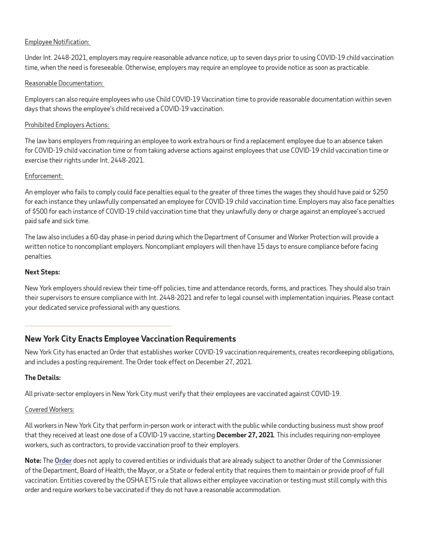#### Employee Notification:

Under Int. 2448-2021, employers may require reasonable advance notice, up to seven days prior to using COVID-19 child vaccination time, when the need is foreseeable. Otherwise, employers may require an employee to provide notice as soon as practicable.

#### Reasonable Documentation:

Employers can also require employees who use Child COVID-19 Vaccination time to provide reasonable documentation within seven days that shows the employee's child received a COVID-19 vaccination.

#### Prohibited Employers Actions:

The law bans employers from requiring an employee to work extra hours or find a replacement employee due to an absence taken for COVID-19 child vaccination time or from taking adverse actions against employees that use COVID-19 child vaccination time or exercise their rights under Int. 2448-2021.

#### Enforcement:

An employer who fails to comply could face penalties equal to the greater of three times the wages they should have paid or \$250 for each instance they unlawfully compensated an employee for COVID-19 child vaccination time. Employers may also face penalties of \$500 for each instance of COVID-19 child vaccination time that they unlawfully deny or charge against an employee's accrued paid safe and sick time.

The law also includes a 60-day phase-in period during which the Department of Consumer and Worker Protection will provide a written notice to noncompliant employers. Noncompliant employers will then have 15 days to ensure compliance before facing penalties.

#### **Next Steps:**

New York employers should review their time-off policies, time and attendance records, forms, and practices. They should also train their supervisors to ensure compliance with Int. 2448-2021 and refer to legal counsel with implementation inquiries. Please contact your dedicated service professional with any questions.

## **New York City Enacts Employee Vaccination Requirements**

New York City has enacted an Order that establishes worker COVID-19 vaccination requirements, creates recordkeeping obligations, and includes a posting requirement. The Order took effect on December 27, 2021.

#### **The Details:**

All private-sector employers in New York City must verify that their employees are vaccinated against COVID-19.

#### Covered Workers:

All workers in New York City that perform in-person work or interact with the public while conducting business must show proof that they received at least one dose of a COVID-19 vaccine, starting **December 27, 2021**. This includes requiring non-employee workers, such as contractors, to provide vaccination proof to their employers.

**Note:** The **[Order](https://www1.nyc.gov/assets/doh/downloads/pdf/covid/covid-19-vaccination-workplace-requirement.pdf)** does not apply to covered entities or individuals that are already subject to another Order of the Commissioner of the Department, Board of Health, the Mayor, or a State or federal entity that requires them to maintain or provide proof of full vaccination. Entities covered by the OSHA ETS rule that allows either employee vaccination or testing must still comply with this order and require workers to be vaccinated if they do not have a reasonable accommodation.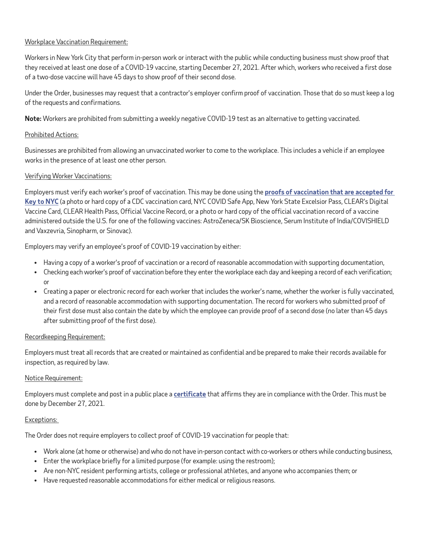#### Workplace Vaccination Requirement:

Workers in New York City that perform in-person work or interact with the public while conducting business must show proof that they received at least one dose of a COVID-19 vaccine, starting December 27, 2021. After which, workers who received a first dose of a two-dose vaccine will have 45 days to show proof of their second dose.

Under the Order, businesses may request that a contractor's employer confirm proof of vaccination. Those that do so must keep a log of the requests and confirmations.

**Note:** Workers are prohibited from submitting a weekly negative COVID-19 test as an alternative to getting vaccinated.

#### Prohibited Actions:

Businesses are prohibited from allowing an unvaccinated worker to come to the workplace. This includes a vehicle if an employee works in the presence of at least one other person.

#### Verifying Worker Vaccinations:

Employers must verify each worker's proof of vaccination. This may be done using the **[proofs of vaccination that are accepted for](https://www1.nyc.gov/site/doh/covid/covid-19-vaccines-keytonyc.page#vaxproof)  [Key to NYC](https://www1.nyc.gov/site/doh/covid/covid-19-vaccines-keytonyc.page#vaxproof)** (a photo or hard copy of a CDC vaccination card, NYC COVID Safe App, New York State Excelsior Pass, CLEAR's Digital Vaccine Card, CLEAR Health Pass, Official Vaccine Record, or a photo or hard copy of the official vaccination record of a vaccine administered outside the U.S. for one of the following vaccines: AstroZeneca/SK Bioscience, Serum Institute of India/COVISHIELD and Vaxzevria, Sinopharm, or Sinovac).

Employers may verify an employee's proof of COVID-19 vaccination by either:

- Having a copy of a worker's proof of vaccination or a record of reasonable accommodation with supporting documentation,
- Checking each worker's proof of vaccination before they enter the workplace each day and keeping a record of each verification; or
- Creating a paper or electronic record for each worker that includes the worker's name, whether the worker is fully vaccinated, and a record of reasonable accommodation with supporting documentation. The record for workers who submitted proof of their first dose must also contain the date by which the employee can provide proof of a second dose (no later than 45 days after submitting proof of the first dose).

#### Recordkeeping Requirement:

Employers must treat all records that are created or maintained as confidential and be prepared to make their records available for inspection, as required by law.

#### Notice Requirement:

Employers must complete and post in a public place a **[certificate](https://www1.nyc.gov/assets/doh/downloads/pdf/covid/covid-19-vaccination-workplace-requirement-affirmation.pdf)** that affirms they are in compliance with the Order. This must be done by December 27, 2021.

#### Exceptions:

The Order does not require employers to collect proof of COVID-19 vaccination for people that:

- Work alone (at home or otherwise) and who do not have in-person contact with co-workers or others while conducting business,
- Enter the workplace briefly for a limited purpose (for example: using the restroom);
- Are non-NYC resident performing artists, college or professional athletes, and anyone who accompanies them; or
- Have requested reasonable accommodations for either medical or religious reasons.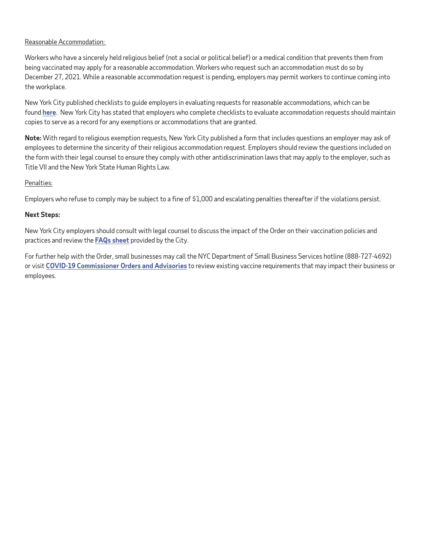#### Reasonable Accommodation:

Workers who have a sincerely held religious belief (not a social or political belief) or a medical condition that prevents them from being vaccinated may apply for a reasonable accommodation. Workers who request such an accommodation must do so by December 27, 2021. While a reasonable accommodation request is pending, employers may permit workers to continue coming into the workplace.

New York City published checklists to guide employers in evaluating requests for reasonable accommodations, which can be found **[here](https://www1.nyc.gov/assets/doh/downloads/pdf/covid/vaccination-workplace-accommodations.pdf)**. New York City has stated that employers who complete checklists to evaluate accommodation requests should maintain copies to serve as a record for any exemptions or accommodations that are granted.

**Note:** With regard to religious exemption requests, New York City published a form that includes questions an employer may ask of employees to determine the sincerity of their religious accommodation request. Employers should review the questions included on the form with their legal counsel to ensure they comply with other antidiscrimination laws that may apply to the employer, such as Title VII and the New York State Human Rights Law.

#### Penalties:

Employers who refuse to comply may be subject to a fine of \$1,000 and escalating penalties thereafter if the violations persist.

#### **Next Steps:**

New York City employers should consult with legal counsel to discuss the impact of the Order on their vaccination policies and practices and review the **[FAQs sheet](https://www1.nyc.gov/assets/counseltothemayor/downloads/Workplace-FAQ.pdf)** provided by the City.

For further help with the Order, small businesses may call the NYC Department of Small Business Services hotline (888-727-4692) or visit **[COVID-19 Commissioner Orders and Advisories](https://www1.nyc.gov/site/doh/about/hearings-and-notices/official-notices.page)** to review existing vaccine requirements that may impact their business or employees.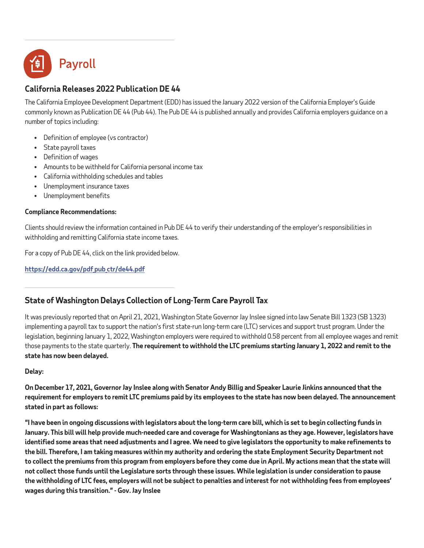

## **California Releases 2022 Publication DE 44**

The California Employee Development Department (EDD) has issued the January 2022 version of the California Employer's Guide commonly known as Publication DE 44 (Pub 44). The Pub DE 44 is published annually and provides California employers guidance on a number of topics including:

- Definition of employee (vs contractor)
- State payroll taxes
- Definition of wages
- Amounts to be withheld for California personal income tax
- California withholding schedules and tables
- Unemployment insurance taxes
- Unemployment benefits

#### **Compliance Recommendations:**

Clients should review the information contained in Pub DE 44 to verify their understanding of the employer's responsibilities in withholding and remitting California state income taxes.

For a copy of Pub DE 44, click on the link provided below.

**[https://edd.ca.gov/pdf\\_pub\\_ctr/de44.pdf](https://edd.ca.gov/pdf_pub_ctr/de44.pdf)**

## **State of Washington Delays Collection of Long-Term Care Payroll Tax**

It was previously reported that on April 21, 2021, Washington State Governor Jay Inslee signed into law Senate Bill 1323 (SB 1323) implementing a payroll tax to support the nation's first state-run long-term care (LTC) services and support trust program. Under the legislation, beginning January 1, 2022, Washington employers were required to withhold 0.58 percent from all employee wages and remit those payments to the state quarterly. **The requirement to withhold the LTC premiums starting January 1, 2022 and remit to the state has now been delayed.**

**Delay:**

 $\overline{a}$ 

**On December 17, 2021, Governor Jay Inslee along with Senator Andy Billig and Speaker Laurie Jinkins announced that the requirement for employers to remit LTC premiums paid by its employees to the state has now been delayed. The announcement stated in part as follows:**

**"I have been in ongoing discussions with legislators about the long-term care bill, which is set to begin collecting funds in January. This bill will help provide much-needed care and coverage for Washingtonians as they age. However, legislators have identified some areas that need adjustments and I agree. We need to give legislators the opportunity to make refinements to the bill. Therefore, I am taking measures within my authority and ordering the state Employment Security Department not to collect the premiums from this program from employers before they come due in April. My actions mean that the state will not collect those funds until the Legislature sorts through these issues. While legislation is under consideration to pause the withholding of LTC fees, employers will not be subject to penalties and interest for not withholding fees from employees' wages during this transition." - Gov. Jay Inslee**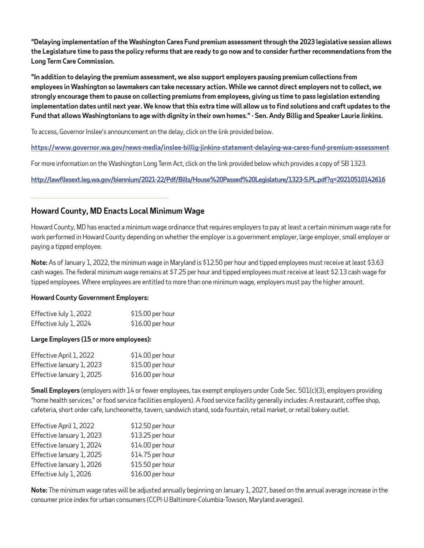**"Delaying implementation of the Washington Cares Fund premium assessment through the 2023 legislative session allows the Legislature time to pass the policy reforms that are ready to go now and to consider further recommendations from the Long Term Care Commission.**

**"In addition to delaying the premium assessment, we also support employers pausing premium collections from employees in Washington so lawmakers can take necessary action. While we cannot direct employers not to collect, we strongly encourage them to pause on collecting premiums from employees, giving us time to pass legislation extending implementation dates until next year. We know that this extra time will allow us to find solutions and craft updates to the Fund that allows Washingtonians to age with dignity in their own homes." - Sen. Andy Billig and Speaker Laurie Jinkins.** 

To access, Governor Inslee's announcement on the delay, click on the link provided below.

**<https://www.governor.wa.gov/news-media/inslee-billig-jinkins-statement-delaying-wa-cares-fund-premium-assessment>**

For more information on the Washington Long Term Act, click on the link provided below which provides a copy of SB 1323.

**<http://lawfilesext.leg.wa.gov/biennium/2021-22/Pdf/Bills/House%20Passed%20Legislature/1323-S.PL.pdf?q=20210510142616>**

## **Howard County, MD Enacts Local Minimum Wage**

Howard County, MD has enacted a minimum wage ordinance that requires employers to pay at least a certain minimum wage rate for work performed in Howard County depending on whether the employer is a government employer, large employer, small employer or paying a tipped employee.

**Note:** As of January 1, 2022, the minimum wage in Maryland is \$12.50 per hour and tipped employees must receive at least \$3.63 cash wages. The federal minimum wage remains at \$7.25 per hour and tipped employees must receive at least \$2.13 cash wage for tipped employees. Where employees are entitled to more than one minimum wage, employers must pay the higher amount.

#### **Howard County Government Employers:**

| Effective July 1, 2022 | \$15.00 per hour |
|------------------------|------------------|
| Effective July 1, 2024 | \$16.00 per hour |

#### **Large Employers (15 or more employees):**

| Effective April 1, 2022   | \$14.00 per hour |
|---------------------------|------------------|
| Effective January 1, 2023 | \$15.00 per hour |
| Effective January 1, 2025 | \$16.00 per hour |

**Small Employers** (employers with 14 or fewer employees, tax exempt employers under Code Sec. 501(c)(3), employers providing "home health services," or food service facilities employers). A food service facility generally includes: A restaurant, coffee shop, cafeteria, short order cafe, luncheonette, tavern, sandwich stand, soda fountain, retail market, or retail bakery outlet.

| Effective April 1, 2022   | \$12.50 per hour |
|---------------------------|------------------|
| Effective January 1, 2023 | \$13.25 per hour |
| Effective January 1, 2024 | \$14.00 per hour |
| Effective January 1, 2025 | \$14.75 per hour |
| Effective January 1, 2026 | \$15.50 per hour |
| Effective July 1, 2026    | \$16.00 per hour |

**Note:** The minimum wage rates will be adjusted annually beginning on January 1, 2027, based on the annual average increase in the consumer price index for urban consumers (CCPI-U Baltimore-Columbia-Towson, Maryland averages).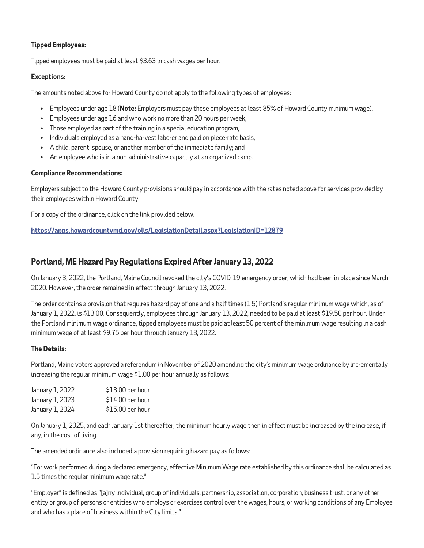#### **Tipped Employees:**

Tipped employees must be paid at least \$3.63 in cash wages per hour.

#### **Exceptions:**

The amounts noted above for Howard County do not apply to the following types of employees:

- Employees under age 18 (**Note:** Employers must pay these employees at least 85% of Howard County minimum wage),
- Employees under age 16 and who work no more than 20 hours per week,
- Those employed as part of the training in a special education program,
- Individuals employed as a hand-harvest laborer and paid on piece-rate basis,
- A child, parent, spouse, or another member of the immediate family; and
- An employee who is in a non-administrative capacity at an organized camp.

#### **Compliance Recommendations:**

Employers subject to the Howard County provisions should pay in accordance with the rates noted above for services provided by their employees within Howard County.

For a copy of the ordinance, click on the link provided below.

**<https://apps.howardcountymd.gov/olis/LegislationDetail.aspx?LegislationID=12879>**

## **Portland, ME Hazard Pay Regulations Expired After January 13, 2022**

On January 3, 2022, the Portland, Maine Council revoked the city's COVID-19 emergency order, which had been in place since March 2020. However, the order remained in effect through January 13, 2022.

The order contains a provision that requires hazard pay of one and a half times (1.5) Portland's regular minimum wage which, as of January 1, 2022, is \$13.00. Consequently, employees through January 13, 2022, needed to be paid at least \$19.50 per hour. Under the Portland minimum wage ordinance, tipped employees must be paid at least 50 percent of the minimum wage resulting in a cash minimum wage of at least \$9.75 per hour through January 13, 2022.

#### **The Details:**

Portland, Maine voters approved a referendum in November of 2020 amending the city's minimum wage ordinance by incrementally increasing the regular minimum wage \$1.00 per hour annually as follows:

| January 1, 2022 | \$13.00 per hour |
|-----------------|------------------|
| January 1, 2023 | \$14.00 per hour |
| January 1, 2024 | \$15.00 per hour |

On January 1, 2025, and each January 1st thereafter, the minimum hourly wage then in effect must be increased by the increase, if any, in the cost of living.

The amended ordinance also included a provision requiring hazard pay as follows:

"For work performed during a declared emergency, effective Minimum Wage rate established by this ordinance shall be calculated as 1.5 times the regular minimum wage rate."

"Employer" is defined as "[a]ny individual, group of individuals, partnership, association, corporation, business trust, or any other entity or group of persons or entities who employs or exercises control over the wages, hours, or working conditions of any Employee and who has a place of business within the City limits."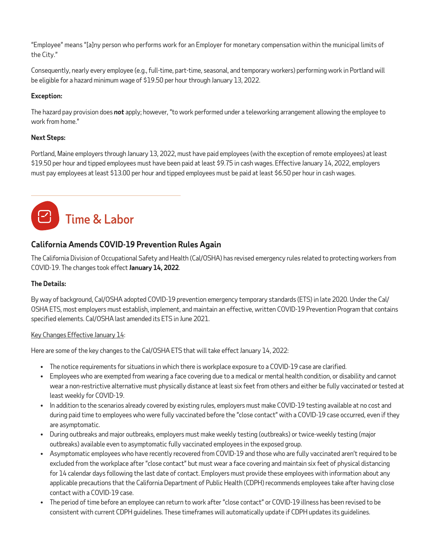"Employee" means "[a]ny person who performs work for an Employer for monetary compensation within the municipal limits of the City."

Consequently, nearly every employee (e.g., full-time, part-time, seasonal, and temporary workers) performing work in Portland will be eligible for a hazard minimum wage of \$19.50 per hour through January 13, 2022.

#### **Exception:**

The hazard pay provision does *not* apply; however, "to work performed under a teleworking arrangement allowing the employee to work from home."

#### **Next Steps:**

Portland, Maine employers through January 13, 2022, must have paid employees (with the exception of remote employees) at least \$19.50 per hour and tipped employees must have been paid at least \$9.75 in cash wages. Effective January 14, 2022, employers must pay employees at least \$13.00 per hour and tipped employees must be paid at least \$6.50 per hour in cash wages.

## Time & Labor

## **California Amends COVID-19 Prevention Rules Again**

The California Division of Occupational Safety and Health (Cal/OSHA) has revised emergency rules related to protecting workers from COVID-19. The changes took effect**January 14, 2022**.

## **The Details:**

By way of background, Cal/OSHA adopted COVID-19 prevention emergency temporary standards (ETS) in late 2020. Under the Cal/ OSHA ETS, most employers must establish, implement, and maintain an effective, written COVID-19 Prevention Program that contains specified elements. Cal/OSHA last amended its ETS in June 2021.

## Key Changes Effective January 14:

Here are some of the key changes to the Cal/OSHA ETS that will take effect January 14, 2022:

- The notice requirements for situations in which there is workplace exposure to a COVID-19 case are clarified.
- Employees who are exempted from wearing a face covering due to a medical or mental health condition, or disability and cannot wear a non-restrictive alternative must physically distance at least six feet from others and either be fully vaccinated or tested at least weekly for COVID-19.
- In addition to the scenarios already covered by existing rules, employers must make COVID-19 testing available at no cost and during paid time to employees who were fully vaccinated before the "close contact" with a COVID-19 case occurred, even if they are asymptomatic.
- During outbreaks and major outbreaks, employers must make weekly testing (outbreaks) or twice-weekly testing (major outbreaks) available even to asymptomatic fully vaccinated employees in the exposed group.
- Asymptomatic employees who have recently recovered from COVID-19 and those who are fully vaccinated aren't required to be excluded from the workplace after "close contact" but must wear a face covering and maintain six feet of physical distancing for 14 calendar days following the last date of contact. Employers must provide these employees with information about any applicable precautions that the California Department of Public Health (CDPH) recommends employees take after having close contact with a COVID-19 case.
- The period of time before an employee can return to work after "close contact" or COVID-19 illness has been revised to be consistent with current CDPH guidelines. These timeframes will automatically update if CDPH updates its guidelines.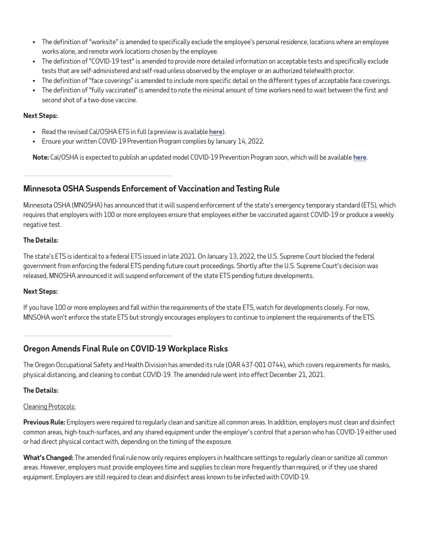- The definition of "worksite" is amended to specifically exclude the employee's personal residence, locations where an employee works alone, and remote work locations chosen by the employee.
- The definition of "COVID-19 test" is amended to provide more detailed information on acceptable tests and specifically exclude tests that are self-administered and self-read unless observed by the employer or an authorized telehealth proctor.
- The definition of "face coverings" is amended to include more specific detail on the different types of acceptable face coverings.
- The definition of "fully vaccinated" is amended to note the minimal amount of time workers need to wait between the first and second shot of a two-dose vaccine.

#### **Next Steps:**

- Read the revised Cal/OSHA ETS in full (a preview is available **[here](https://www.dir.ca.gov/OSHSB/documents/Dec162021-COVID-19-Prevention-Emergency-txtcourtesy-2nd-Readoption.pdf)**).
- Ensure your written COVID-19 Prevention Program complies by January 14, 2022.

**Note:** Cal/OSHA is expected to publish an updated model COVID-19 Prevention Program soon, which will be available **[here](https://www.dir.ca.gov/dosh/coronavirus/ETS.html)**.

## **Minnesota OSHA Suspends Enforcement of Vaccination and Testing Rule**

Minnesota OSHA (MNOSHA) has announced that it will suspend enforcement of the state's emergency temporary standard (ETS), which requires that employers with 100 or more employees ensure that employees either be vaccinated against COVID-19 or produce a weekly negative test.

#### **The Details:**

The state's ETS is identical to a federal ETS issued in late 2021. On January 13, 2022, the U.S. Supreme Court blocked the federal government from enforcing the federal ETS pending future court proceedings. Shortly after the U.S. Supreme Court's decision was released, MNOSHA announced it will suspend enforcement of the state ETS pending future developments.

#### **Next Steps:**

If you have 100 or more employees and fall within the requirements of the state ETS, watch for developments closely. For now, MNSOHA won't enforce the state ETS but strongly encourages employers to continue to implement the requirements of the ETS.

## **Oregon Amends Final Rule on COVID-19 Workplace Risks**

The Oregon Occupational Safety and Health Division has amended its rule (OAR 437-001-0744), which covers requirements for masks, physical distancing, and cleaning to combat COVID-19. The amended rule went into effect December 21, 2021.

#### **The Details:**

#### Cleaning Protocols:

**Previous Rule:** Employers were required to regularly clean and sanitize all common areas. In addition, employers must clean and disinfect common areas, high-touch-surfaces, and any shared equipment under the employer's control that a person who has COVID-19 either used or had direct physical contact with, depending on the timing of the exposure.

**What's Changed:** The amended final rule now only requires employers in healthcare settings to regularly clean or sanitize all common areas. However, employers must provide employees time and supplies to clean more frequently than required, or if they use shared equipment. Employers are still required to clean and disinfect areas known to be infected with COVID-19.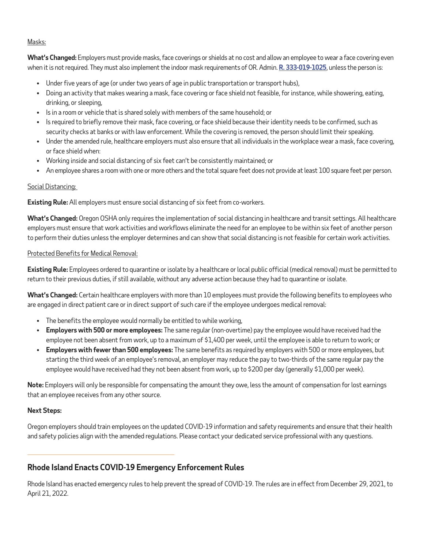#### Masks:

**What's Changed:** Employers must provide masks, face coverings or shields at no cost and allow an employee to wear a face covering even when it is not required. They must also implement the indoor mask requirements of OR. Admin. **[R. 333-019-1025](https://www.oregon.gov/oha/PH/DISEASESCONDITIONS/COMMUNICABLEDISEASE/REPORTINGCOMMUNICABLEDISEASE/Documents/rules/2021/Indoor and outdoor masking-1025/333-019-1025-TEMP_Notice-to-IPs__FINAL-updated_11.23.2021.pdf)**, unless the person is:

- Under five years of age (or under two years of age in public transportation or transport hubs),
- Doing an activity that makes wearing a mask, face covering or face shield not feasible, for instance, while showering, eating, drinking, or sleeping,
- Is in a room or vehicle that is shared solely with members of the same household; or
- Is required to briefly remove their mask, face covering, or face shield because their identity needs to be confirmed, such as security checks at banks or with law enforcement. While the covering is removed, the person should limit their speaking.
- Under the amended rule, healthcare employers must also ensure that all individuals in the workplace wear a mask, face covering, or face shield when:
- Working inside and social distancing of six feet can't be consistently maintained; or
- An employee shares a room with one or more others and the total square feet does not provide at least 100 square feet per person.

#### Social Distancing:

**Existing Rule:** All employers must ensure social distancing of six feet from co-workers.

**What's Changed:** Oregon OSHA only requires the implementation of social distancing in healthcare and transit settings. All healthcare employers must ensure that work activities and workflows eliminate the need for an employee to be within six feet of another person to perform their duties unless the employer determines and can show that social distancing is not feasible for certain work activities.

#### Protected Benefits for Medical Removal:

**Existing Rule:** Employees ordered to quarantine or isolate by a healthcare or local public official (medical removal) must be permitted to return to their previous duties, if still available, without any adverse action because they had to quarantine or isolate.

**What's Changed:** Certain healthcare employers with more than 10 employees must provide the following benefits to employees who are engaged in direct patient care or in direct support of such care if the employee undergoes medical removal:

- The benefits the employee would normally be entitled to while working,
- **Employers with 500 or more employees:** The same regular (non-overtime) pay the employee would have received had the employee not been absent from work, up to a maximum of \$1,400 per week, until the employee is able to return to work; or
- **Employers with fewer than 500 employees:** The same benefits as required by employers with 500 or more employees, but starting the third week of an employee's removal, an employer may reduce the pay to two-thirds of the same regular pay the employee would have received had they not been absent from work, up to \$200 per day (generally \$1,000 per week).

**Note:** Employers will only be responsible for compensating the amount they owe, less the amount of compensation for lost earnings that an employee receives from any other source.

#### **Next Steps:**

Oregon employers should train employees on the updated COVID-19 information and safety requirements and ensure that their health and safety policies align with the amended regulations. Please contact your dedicated service professional with any questions.

## **Rhode Island Enacts COVID-19 Emergency Enforcement Rules**

Rhode Island has enacted emergency rules to help prevent the spread of COVID-19. The rules are in effect from December 29, 2021, to April 21, 2022.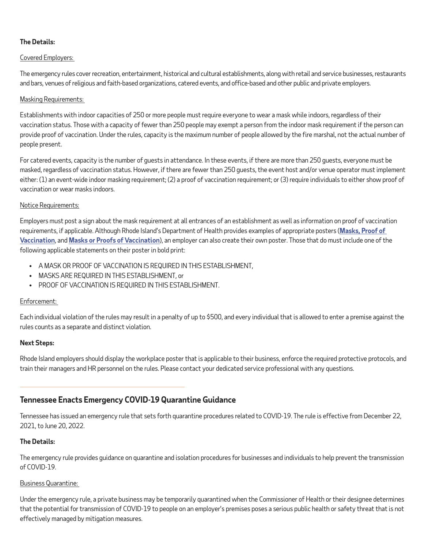## **The Details:**

#### Covered Employers:

The emergency rules cover recreation, entertainment, historical and cultural establishments, along with retail and service businesses, restaurants and bars, venues of religious and faith-based organizations, catered events, and office-based and other public and private employers.

#### Masking Requirements:

Establishments with indoor capacities of 250 or more people must require everyone to wear a mask while indoors, regardless of their vaccination status. Those with a capacity of fewer than 250 people may exempt a person from the indoor mask requirement if the person can provide proof of vaccination. Under the rules, capacity is the maximum number of people allowed by the fire marshal, not the actual number of people present.

For catered events, capacity is the number of guests in attendance. In these events, if there are more than 250 guests, everyone must be masked, regardless of vaccination status. However, if there are fewer than 250 guests, the event host and/or venue operator must implement either: (1) an event-wide indoor masking requirement; (2) a proof of vaccination requirement; or (3) require individuals to either show proof of vaccination or wear masks indoors.

#### Notice Requirements:

Employers must post a sign about the mask requirement at all entrances of an establishment as well as information on proof of vaccination requirements, if applicable. Although Rhode Island's Department of Health provides examples of appropriate posters (**Masks, [Proof of](https://health.ri.gov/publications/posters/Proof-of-Vaccination-Required.pdf)  [Vaccination](https://health.ri.gov/publications/posters/Proof-of-Vaccination-Required.pdf)**, and **[Masks or Proofs of Vaccination](https://health.ri.gov/publications/posters/Mask-or-Proof-of-Vaccination-Required.pdf)**), an employer can also create their own poster. Those that do must include one of the following applicable statements on their poster in bold print:

- A MASK OR PROOF OF VACCINATION IS REQUIRED IN THIS ESTABLISHMENT,
- MASKS ARE REQUIRED IN THIS ESTABLISHMENT, or
- PROOF OF VACCINATION IS REQUIRED IN THIS ESTABLISHMENT.

#### Enforcement:

Each individual violation of the rules may result in a penalty of up to \$500, and every individual that is allowed to enter a premise against the rules counts as a separate and distinct violation.

#### **Next Steps:**

Rhode Island employers should display the workplace poster that is applicable to their business, enforce the required protective protocols, and train their managers and HR personnel on the rules. Please contact your dedicated service professional with any questions.

## **Tennessee Enacts Emergency COVID-19 Quarantine Guidance**

Tennessee has issued an emergency rule that sets forth quarantine procedures related to COVID-19. The rule is effective from December 22, 2021, to June 20, 2022.

#### **The Details:**

The emergency rule provides guidance on quarantine and isolation procedures for businesses and individuals to help prevent the transmission of COVID-19.

#### Business Quarantine:

Under the emergency rule, a private business may be temporarily quarantined when the Commissioner of Health or their designee determines that the potential for transmission of COVID-19 to people on an employer's premises poses a serious public health or safety threat that is not effectively managed by mitigation measures.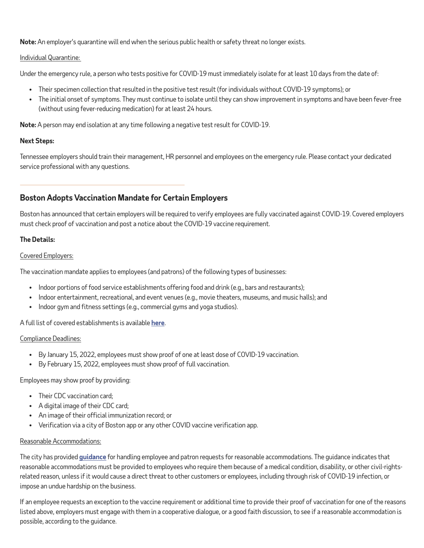**Note:** An employer's quarantine will end when the serious public health or safety threat no longer exists.

#### Individual Quarantine:

Under the emergency rule, a person who tests positive for COVID-19 must immediately isolate for at least 10 days from the date of:

- Their specimen collection that resulted in the positive test result (for individuals without COVID-19 symptoms); or
- The initial onset of symptoms. They must continue to isolate until they can show improvement in symptoms and have been fever-free (without using fever-reducing medication) for at least 24 hours.

**Note:** A person may end isolation at any time following a negative test result for COVID-19.

#### **Next Steps:**

Tennessee employers should train their management, HR personnel and employees on the emergency rule. Please contact your dedicated service professional with any questions.

## **Boston Adopts Vaccination Mandate for Certain Employers**

Boston has announced that certain employers will be required to verify employees are fully vaccinated against COVID-19. Covered employers must check proof of vaccination and post a notice about the COVID-19 vaccine requirement.

#### **The Details:**

#### Covered Employers:

The vaccination mandate applies to employees (and patrons) of the following types of businesses:

- Indoor portions of food service establishments offering food and drink (e.g., bars and restaurants);
- Indoor entertainment, recreational, and event venues (e.g., movie theaters, museums, and music halls); and
- Indoor gym and fitness settings (e.g., commercial gyms and yoga studios).

#### A full list of covered establishments is available **[here](https://www.boston.gov/departments/mayors-office/introducing-b-together#list-of-locations-and-businesses)**.

#### Compliance Deadlines:

- By January 15, 2022, employees must show proof of one at least dose of COVID-19 vaccination.
- By February 15, 2022, employees must show proof of full vaccination.

#### Employees may show proof by providing:

- Their CDC vaccination card;
- A digital image of their CDC card;
- An image of their official immunization record; or
- Verification via a city of Boston app or any other COVID vaccine verification app.

#### Reasonable Accommodations:

The city has provided **[guidance](https://www.boston.gov/sites/default/files/file/2022/01/B Together Accommodation Guidance.pdf)** for handling employee and patron requests for reasonable accommodations. The guidance indicates that reasonable accommodations must be provided to employees who require them because of a medical condition, disability, or other civil-rightsrelated reason, unless if it would cause a direct threat to other customers or employees, including through risk of COVID-19 infection, or impose an undue hardship on the business.

If an employee requests an exception to the vaccine requirement or additional time to provide their proof of vaccination for one of the reasons listed above, employers must engage with them in a cooperative dialogue, or a good faith discussion, to see if a reasonable accommodation is possible, according to the guidance.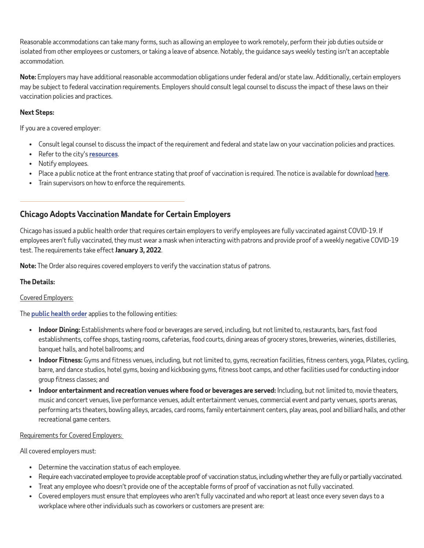Reasonable accommodations can take many forms, such as allowing an employee to work remotely, perform their job duties outside or isolated from other employees or customers, or taking a leave of absence. Notably, the guidance says weekly testing isn't an acceptable accommodation.

**Note:** Employers may have additional reasonable accommodation obligations under federal and/or state law. Additionally, certain employers may be subject to federal vaccination requirements. Employers should consult legal counsel to discuss the impact of these laws on their vaccination policies and practices.

#### **Next Steps:**

If you are a covered employer:

- Consult legal counsel to discuss the impact of the requirement and federal and state law on your vaccination policies and practices.
- Refer to the city's **[resources](https://www.boston.gov/departments/mayors-office/introducing-b-together)**.
- Notify employees.
- Place a public notice at the front entrance stating that proof of vaccination is required. The notice is available for download **[here](https://drive.google.com/drive/folders/18P3uNGL1vKMkU_XyeTjC2Rs4Su97QvIv)**.
- Train supervisors on how to enforce the requirements.

## **Chicago Adopts Vaccination Mandate for Certain Employers**

Chicago has issued a public health order that requires certain employers to verify employees are fully vaccinated against COVID-19. If employees aren't fully vaccinated, they must wear a mask when interacting with patrons and provide proof of a weekly negative COVID-19 test. The requirements take effect **January 3, 2022**.

**Note:** The Order also requires covered employers to verify the vaccination status of patrons.

#### **The Details:**

#### Covered Employers:

The **[public health order](https://www.chicago.gov/content/dam/city/sites/covid/health-orders/Health-Order_2021-2_12-21-21_FINAL.pdf)** applies to the following entities:

- **Indoor Dining:** Establishments where food or beverages are served, including, but not limited to, restaurants, bars, fast food establishments, coffee shops, tasting rooms, cafeterias, food courts, dining areas of grocery stores, breweries, wineries, distilleries, banquet halls, and hotel ballrooms; and
- **Indoor Fitness:** Gyms and fitness venues, including, but not limited to, gyms, recreation facilities, fitness centers, yoga, Pilates, cycling, barre, and dance studios, hotel gyms, boxing and kickboxing gyms, fitness boot camps, and other facilities used for conducting indoor group fitness classes; and
- **Indoor entertainment and recreation venues where food or beverages are served:** Including, but not limited to, movie theaters, music and concert venues, live performance venues, adult entertainment venues, commercial event and party venues, sports arenas, performing arts theaters, bowling alleys, arcades, card rooms, family entertainment centers, play areas, pool and billiard halls, and other recreational game centers.

#### Requirements for Covered Employers:

All covered employers must:

- Determine the vaccination status of each employee.
- Require each vaccinated employee to provide acceptable proof of vaccination status, including whether they are fully or partially vaccinated.
- Treat any employee who doesn't provide one of the acceptable forms of proof of vaccination as not fully vaccinated.
- Covered employers must ensure that employees who aren't fully vaccinated and who report at least once every seven days to a workplace where other individuals such as coworkers or customers are present are: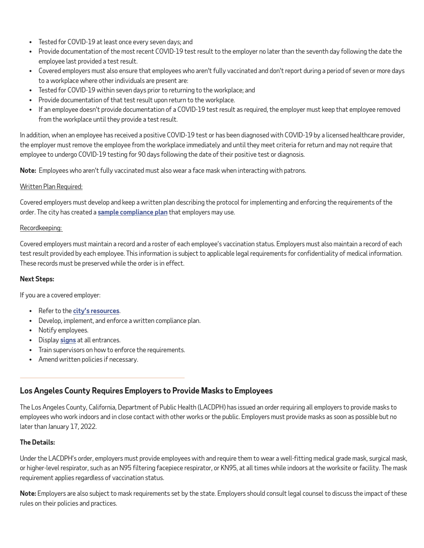- Tested for COVID-19 at least once every seven days; and
- Provide documentation of the most recent COVID-19 test result to the employer no later than the seventh day following the date the employee last provided a test result.
- Covered employers must also ensure that employees who aren't fully vaccinated and don't report during a period of seven or more days to a workplace where other individuals are present are:
- Tested for COVID-19 within seven days prior to returning to the workplace; and
- Provide documentation of that test result upon return to the workplace.
- If an employee doesn't provide documentation of a COVID-19 test result as required, the employer must keep that employee removed from the workplace until they provide a test result.

In addition, when an employee has received a positive COVID-19 test or has been diagnosed with COVID-19 by a licensed healthcare provider, the employer must remove the employee from the workplace immediately and until they meet criteria for return and may not require that employee to undergo COVID-19 testing for 90 days following the date of their positive test or diagnosis.

**Note:** Employees who aren't fully vaccinated must also wear a face mask when interacting with patrons.

#### Written Plan Required:

Covered employers must develop and keep a written plan describing the protocol for implementing and enforcing the requirements of the order. The city has created a **[sample compliance plan](https://www.chicago.gov/content/dam/city/sites/covid-19-vaccine/Documents/ProofOfVaccination_CompliancePlan_12.21.2021.pdf)** that employers may use.

#### Recordkeeping:

Covered employers must maintain a record and a roster of each employee's vaccination status. Employers must also maintain a record of each test result provided by each employee. This information is subject to applicable legal requirements for confidentiality of medical information. These records must be preserved while the order is in effect.

#### **Next Steps:**

If you are a covered employer:

- Refer to the **city's [resources](https://www.chicago.gov/city/en/sites/covid19-vaccine/home/chi-vaccine-requirement.html)**.
- Develop, implement, and enforce a written compliance plan.
- Notify employees.
- Display **[signs](https://www.chicago.gov/city/en/sites/covid-19/home/reopening-business-portal/communication-resources.html)** at all entrances.
- Train supervisors on how to enforce the requirements.
- Amend written policies if necessary.

## **Los Angeles County Requires Employers to Provide Masks to Employees**

The Los Angeles County, California, Department of Public Health (LACDPH) has issued an order requiring all employers to provide masks to employees who work indoors and in close contact with other works or the public. Employers must provide masks as soon as possible but no later than January 17, 2022.

#### **The Details:**

Under the LACDPH's order, employers must provide employees with and require them to wear a well-fitting medical grade mask, surgical mask, or higher-level respirator, such as an N95 filtering facepiece respirator, or KN95, at all times while indoors at the worksite or facility. The mask requirement applies regardless of vaccination status.

**Note:** Employers are also subject to mask requirements set by the state. Employers should consult legal counsel to discuss the impact of these rules on their policies and practices.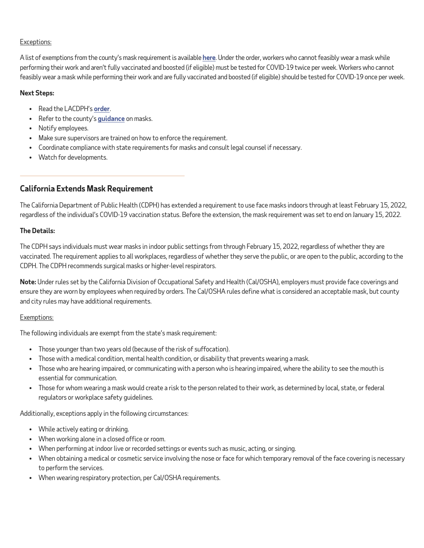#### Exceptions:

A list of exemptions from the county's mask requirement is available **[here](http://publichealth.lacounty.gov/acd/ncorona2019/masks/#notwear)**. Under the order, workers who cannot feasibly wear a mask while performing their work and aren't fully vaccinated and boosted (if eligible) must be tested for COVID-19 twice per week. Workers who cannot feasibly wear a mask while performing their work and are fully vaccinated and boosted (if eligible) should be tested for COVID-19 once per week.

#### **Next Steps:**

- Read the LACDPH's **[order](http://www.publichealth.lacounty.gov/media/Coronavirus/docs/HOO/HOO_SaferReturnWorkCommunity.pdf)**.
- Refer to the county's **[guidance](http://publichealth.lacounty.gov/media/Coronavirus/docs/business/UpgradeMaskRequirement.pdf)** on masks.
- Notify employees.
- Make sure supervisors are trained on how to enforce the requirement.
- Coordinate compliance with state requirements for masks and consult legal counsel if necessary.
- Watch for developments.

## **California Extends Mask Requirement**

The California Department of Public Health (CDPH) has extended a requirement to use face masks indoors through at least February 15, 2022, regardless of the individual's COVID-19 vaccination status. Before the extension, the mask requirement was set to end on January 15, 2022.

#### **The Details:**

The CDPH says individuals must wear masks in indoor public settings from through February 15, 2022, regardless of whether they are vaccinated. The requirement applies to all workplaces, regardless of whether they serve the public, or are open to the public, according to the CDPH. The CDPH recommends surgical masks or higher-level respirators.

**Note:** Under rules set by the California Division of Occupational Safety and Health (Cal/OSHA), employers must provide face coverings and ensure they are worn by employees when required by orders. The Cal/OSHA rules define what is considered an acceptable mask, but county and city rules may have additional requirements.

#### Exemptions:

The following individuals are exempt from the state's mask requirement:

- Those younger than two years old (because of the risk of suffocation).
- Those with a medical condition, mental health condition, or disability that prevents wearing a mask.
- Those who are hearing impaired, or communicating with a person who is hearing impaired, where the ability to see the mouth is essential for communication.
- Those for whom wearing a mask would create a risk to the person related to their work, as determined by local, state, or federal regulators or workplace safety guidelines.

Additionally, exceptions apply in the following circumstances:

- While actively eating or drinking.
- When working alone in a closed office or room.
- When performing at indoor live or recorded settings or events such as music, acting, or singing.
- When obtaining a medical or cosmetic service involving the nose or face for which temporary removal of the face covering is necessary to perform the services.
- When wearing respiratory protection, per Cal/OSHA requirements.